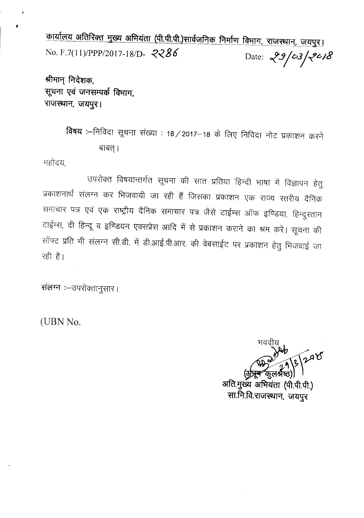<u>कार्यालय अतिरिक्त मुख्य अभियंता (पी.पी.पी.)सार्वजनिक निर्माण विभाग, राजस्थान, जयपुर।</u> No. F.7(11)/PPP/2017-18/D- 2286 Date:  $29/03/20/8$ 

श्रीमान् निदेशक. सूचना एवं जनसम्पर्क विभाग, राजस्थान, जयपुर।

> विषय :--निविदा सूचना संख्या : 18/2017-18 के लिए निविदा नोट प्रकाशन करने बाबत् ।

महोदय,

उपरोक्त विषयान्तर्गत सूचना की सात प्रतिया हिन्दी भाषा में विज्ञापन हेतु प्रकाशनार्थ संलग्न कर भिजवायी जा रही हैं जिसका प्रकाशन एक राज्य स्तरीय दैनिक समाचार पत्र एवं एक राष्ट्रीय दैनिक समाचार पत्र जैसे टाईम्स ऑफ इण्डिया, हिन्दुस्तान टाईम्स, दी हिन्दू व इण्डियन एक्सप्रेस आदि में से प्रकाशन कराने का श्रम करें। सूचना की सॉफ्ट प्रति भी संलग्न सी.डी. में डी.आई.पी.आर. की वेबसाईट पर प्रकाशन हेतु भिजवाई जा रही है।

संलग्न :- उपरोक्तानुसार।

(UBN No.

298 अति.मुख्य अभियंता (पी.पी.पी.)

सा.नि.वि.राजस्थान, जयपुर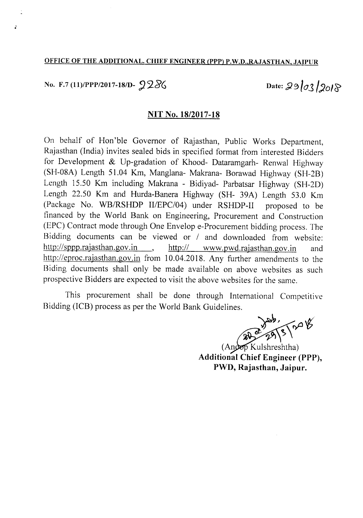#### OFFICE OF THE ADDITIONAL. CHIEF ENGINEER (PPP) P.W.D.,RAJASTHAN, JAIPUR

## No. F.7 (11)/PPP/2017-18/D-  $9286$  Date:  $29/03/2018$

, .

#### NIT No. *18/2017-18*

On behalf of Hon'ble Governor of Rajasthan, Public Works Department, Rajasthan (India) invites sealed bids in specified format from interested Bidders for Development & Up-gradation of Khood- Dataramgarh- Renwal Highway (SH-08A) Length 51.04 Km, Manglana- Makrana- Borawad Highway (SH-2B) Length 15.50 Km including Makrana - Bidiyad- Parbatsar Highway (SH-2D) Length 22.50 Km and Hurda-Banera Highway (SH- 39A) Length 53.0 Km (Package No. WB/RSHDP II/EPC/04) under RSHDP-II proposed to be financed by the World Bank on Engineering, Procurement and Construction (EPC) Contract mode through One Envelop e-Procurement bidding process. The Bidding documents can be viewed or *1* and downloaded from website: http://sppp.rajasthan.gov.in http:// www.pwd.rajasthan.gov.in and http://eproc.rajasthan.gov.in from 10.04.2018. Any further amendments to the Biding documents shall only be made available on above websites as such prospective Bidders are expected to visit the above websites for the same.

This procurement shall be done through International Competitive

Bidding (ICB) process as per the World Bank Guidelines.

 $(An \circledcirc B$  Kulshreshtha) Additional Chief Engineer (PPP), PWD, Rajasthan, Jaipur.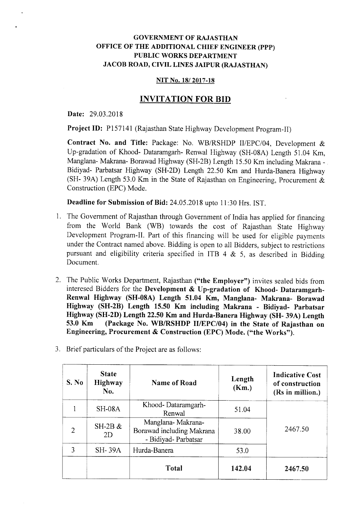#### GOVERNMENT OF RAJASTHAN OFFICE OF THE ADDITIONAL CHIEF ENGINEER (PPP) PUBLIC WORKS DEPARTMENT JACOB ROAD, CIVIL LINES JAIPUR (RAJASTHAN)

#### NIT No. 18/2017-18

#### INVITATION FOR BID

Date: 29.03.2018

Project ID: P157141 (Rajasthan State Highway Development Program-II)

Contract No. and Title: Package: No. WB/RSHDP II/EPC/04, Development & Up-gradation of Khood- Dataramgarh- Renwal Highway (SH-08A) Length 51.04 Km, Manglana- Makrana- Borawad Highway (SH-2B) Length 15.50 Km including Makrana-Bidiyad- Parbatsar Highway (SH-2D) Length 22.50 Km and Hurda-Banera Highway (SH- 39A) Length 53.0 Km in the State of Rajasthan on Engineering, Procurement & Construction (EPC) Mode.

Deadline for Submission of Bid: 24.05.2018 upto 11:30 Hrs. 1ST.

- 1. The Government of Rajasthan through Government of India has applied for financing from the World Bank (WB) towards the cost of Rajasthan State Highway Development Program-Il. Part of this financing will be used for eligible payments under the Contract named above. Bidding is open to all Bidders, subject to restrictions pursuant and eligibility criteria specified in ITB 4  $\&$  5, as described in Bidding Document.
- 2. The Public Works Department, Rajasthan ("the Employer") invites sealed bids from interesed Bidders for the Development & Up-gradation of Khood- Dataramgarh-Renwal Highway (SH-OSA) Length 51.04 Km, Manglana- Makrana- Borawad Highway (SH-2B) Length 15.50 Km including Makrana - Bidiyad- Parbatsar Highway (SH-2D) Length 22.50 Km and Hurda-Banera Highway (SH- 39A) Length 53.0 Km (Package No. WBIRSHDP *IIIEPC/04)* in the State of Rajasthan on Engineering, Procurement & Construction (EPC) Mode. ("the Works").

| S. No          | <b>State</b><br>Highway<br>No. | Name of Road                                                           | Length<br>(Km.) | <b>Indicative Cost</b><br>of construction<br>(Rs in million.) |
|----------------|--------------------------------|------------------------------------------------------------------------|-----------------|---------------------------------------------------------------|
|                | <b>SH-08A</b>                  | Khood-Dataramgarh-<br>Renwal                                           | 51.04           | 2467.50                                                       |
| $\overline{2}$ | $SH-2B \&$<br>2D               | Manglana-Makrana-<br>Borawad including Makrana<br>- Bidiyad- Parbatsar | 38.00           |                                                               |
| 3              | <b>SH-39A</b>                  | Hurda-Banera                                                           | 53.0            |                                                               |
|                |                                | Total                                                                  | 142.04          | 2467.50                                                       |

3. Brief particulars of the Project are as follows: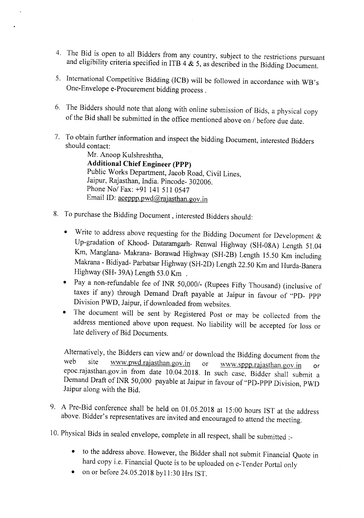- 4. The Bid is open to all Bidders from any country, subject to the restrictions pursuant and eligibility criteria specified in ITB  $4 \& 5$ , as described in the Bidding Document.
- 5. International Competitive Bidding (ICB) will be followed in accordance with WB's One-Envelope e-Procurement bidding process.
- 6. The Bidders should note that along with online submission of Bids, a physical copy of the Bid shall be submitted in the office mentioned above on *1* before due date.
- 7. To obtain further information and inspect the bidding Document, interested Bidders should contact:

Mr. Anoop Kulshreshtha, **Additional Chief Engineer (PPP)** Public Works Department, Jacob Road, Civil Lines, Jaipur, Rajasthan, India. Pincode- 302006. Phone *Nol* Fax: +91 141 511 0547 Email ID: aceppp.pwd@rajasthan.gov.in

- 8. To purchase the Bidding Document, interested Bidders should:
	- Write to address above requesting for the Bidding Document for Development & Up-gradation of Khood- Dataramgarh- Renwal Highway (SH-08A) Length 51.04 Km, Manglana- Makrana- Borawad Highway (SH-2B) Length 15.50 Km including Makrana - Bidiyad- Parbatsar Highway (SH-2D) Length 22.50 Km and Hurda-Banera Highway (SH- 39A) Length 53.0 Km .
	- Pay a non-refundable fee of INR *50,0001-* (Rupees Fifty Thousand) (inclusive of taxes if any) through Demand Draft payable at Jaipur in favour of "PD- PPP Division PWD, Jaipur, if downloaded from websites.
	- The document will be sent by Registered Post or may be collected from the address mentioned above upon request. No liability will be accepted for loss or late delivery of Bid Documents.

Alternatively, the Bidders can view and/ or download the Bidding document from the web site www.pwd.rajasthan.gov.in or www.sppp.rajasthan.gov.jp web site <u>www.pwd.rajasthan.gov.in</u> or www.sppp.rajasthan.gov.jn or epoc.rajasthan.gov.in from date 10.04.2018. In such case, Bidder shall submit a Demand Draft of INR 50,000 payable at Jaipur in favour of "PD-PPP Division, PWD Jaipur along with the Bid.

- 9. A Pre-Bid conference shall be held on 0l.05.2018 at 15:00 hours 1ST at the address above. Bidder's representatives are invited and encouraged to attend the meeting.
- 10. Physical Bids in sealed envelope, complete in all respect, shall be submitted :\_
	- to the address above. However, the Bidder shall not submit Financial Quote in hard copy i.e. Financial Quote is to be uploaded on e-Tender Portal only
	- on or before 24.05.2018 byll:30 Hrs 1ST.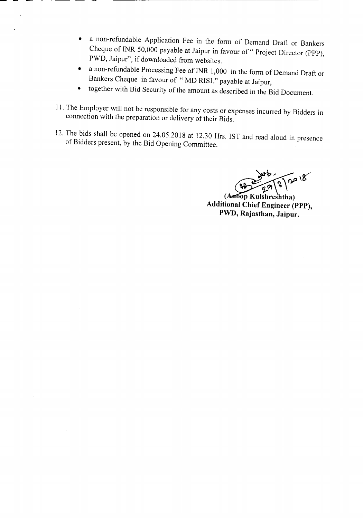- a non-refundable Application Fee in the form of Demand Draft or Bankers Cheque of INR 50,000 payable at Jaipur in favour of "Project Director (PPP), PWD, Jaipur", if downloaded from websites.
- a non-refundable Processing Fee of INR 1,000 in the form of Demand Draft or Bankers Cheque in favour of " MD RISL" payable at Jaipur,
- together with Bid Security of the amount as described in the Bid Document.
- II.The Employer will not be responsible for any costs or expenses incurred by Bidders in connection with the preparation or delivery of their Bids.
- 12. The bids shall be opened on 24.05.2018 at 12.30 Hrs. IST and read aloud in presence of Bidders present, by the Bid Opening Committee.

 $\sqrt{2}a18$ 

(Antop Kulshreshtha) Additional Chief Engineer (PPP), PWD, Rajasthan, Jaipur.